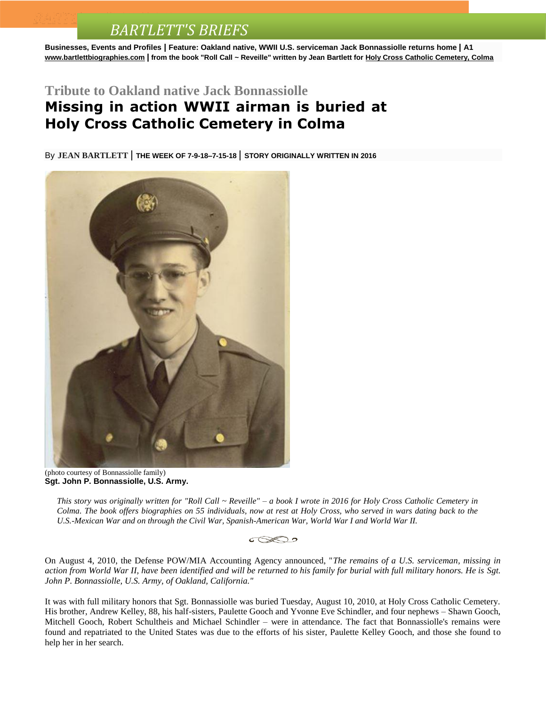**Businesses, Events and Profiles | Feature: Oakland native, WWII U.S. serviceman Jack Bonnassiolle returns home | A1 [www.bartlettbiographies.com](http://www.bartlettbiographies.com/) | from the book "Roll Call ~ Reveille" written by Jean Bartlett for [Holy Cross Catholic Cemetery, Colma](http://www.holycrosscemeteries.com/locations/colma.htm)**

#### **Tribute to Oakland native Jack Bonnassiolle**

### **Missing in action WWII airman is buried at Holy Cross Catholic Cemetery in Colma**

By **JEAN [BARTLETT](http://www.mercurynews.com/author/jean-bartlett/)** | **THE WEEK OF 7-9-18–7-15-18** | **STORY ORIGINALLY WRITTEN IN <sup>2016</sup>**



(photo courtesy of Bonnassiolle family) **Sgt. John P. Bonnassiolle, U.S. Army.**

*This story was originally written for "Roll Call ~ Reveille" – a book I wrote in 2016 for Holy Cross Catholic Cemetery in Colma. The book offers biographies on 55 individuals, now at rest at Holy Cross, who served in wars dating back to the U.S.-Mexican War and on through the Civil War, Spanish-American War, World War I and World War II.*



On August 4, 2010, the Defense POW/MIA Accounting Agency announced, "*The remains of a U.S. serviceman, missing in action from World War II, have been identified and will be returned to his family for burial with full military honors. He is Sgt. John P. Bonnassiolle, U.S. Army, of Oakland, California."* 

It was with full military honors that Sgt. Bonnassiolle was buried Tuesday, August 10, 2010, at Holy Cross Catholic Cemetery. His brother, Andrew Kelley, 88, his half-sisters, Paulette Gooch and Yvonne Eve Schindler, and four nephews – Shawn Gooch, Mitchell Gooch, Robert Schultheis and Michael Schindler – were in attendance. The fact that Bonnassiolle's remains were found and repatriated to the United States was due to the efforts of his sister, Paulette Kelley Gooch, and those she found to help her in her search.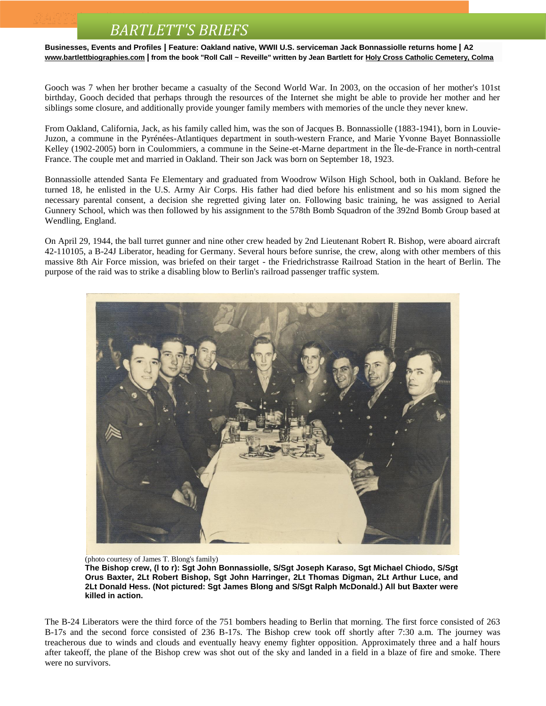**Businesses, Events and Profiles | Feature: Oakland native, WWII U.S. serviceman Jack Bonnassiolle returns home | A2 [www.bartlettbiographies.com](http://www.bartlettbiographies.com/) | from the book "Roll Call ~ Reveille" written by Jean Bartlett for [Holy Cross Catholic Cemetery, Colma](http://www.holycrosscemeteries.com/locations/colma.htm)**

Gooch was 7 when her brother became a casualty of the Second World War. In 2003, on the occasion of her mother's 101st birthday, Gooch decided that perhaps through the resources of the Internet she might be able to provide her mother and her siblings some closure, and additionally provide younger family members with memories of the uncle they never knew.

From Oakland, California, Jack, as his family called him, was the son of Jacques B. Bonnassiolle (1883-1941), born in Louvie-Juzon, a commune in the Pyrénées-Atlantiques department in south-western France, and Marie Yvonne Bayet Bonnassiolle Kelley (1902-2005) born in Coulommiers, a commune in the Seine-et-Marne department in the Île-de-France in north-central France. The couple met and married in Oakland. Their son Jack was born on September 18, 1923.

Bonnassiolle attended Santa Fe Elementary and graduated from Woodrow Wilson High School, both in Oakland. Before he turned 18, he enlisted in the U.S. Army Air Corps. His father had died before his enlistment and so his mom signed the necessary parental consent, a decision she regretted giving later on. Following basic training, he was assigned to Aerial Gunnery School, which was then followed by his assignment to the 578th Bomb Squadron of the 392nd Bomb Group based at Wendling, England.

On April 29, 1944, the ball turret gunner and nine other crew headed by 2nd Lieutenant Robert R. Bishop, were aboard aircraft 42-110105, a B-24J Liberator, heading for Germany. Several hours before sunrise, the crew, along with other members of this massive 8th Air Force mission, was briefed on their target - the Friedrichstrasse Railroad Station in the heart of Berlin. The purpose of the raid was to strike a disabling blow to Berlin's railroad passenger traffic system.



(photo courtesy of James T. Blong's family)

**The Bishop crew, (l to r): Sgt John Bonnassiolle, S/Sgt Joseph Karaso, Sgt Michael Chiodo, S/Sgt Orus Baxter, 2Lt Robert Bishop, Sgt John Harringer, 2Lt Thomas Digman, 2Lt Arthur Luce, and 2Lt Donald Hess. (Not pictured: Sgt James Blong and S/Sgt Ralph McDonald.) All but Baxter were killed in action.**

The B-24 Liberators were the third force of the 751 bombers heading to Berlin that morning. The first force consisted of 263 B-17s and the second force consisted of 236 B-17s. The Bishop crew took off shortly after 7:30 a.m. The journey was treacherous due to winds and clouds and eventually heavy enemy fighter opposition. Approximately three and a half hours after takeoff, the plane of the Bishop crew was shot out of the sky and landed in a field in a blaze of fire and smoke. There were no survivors.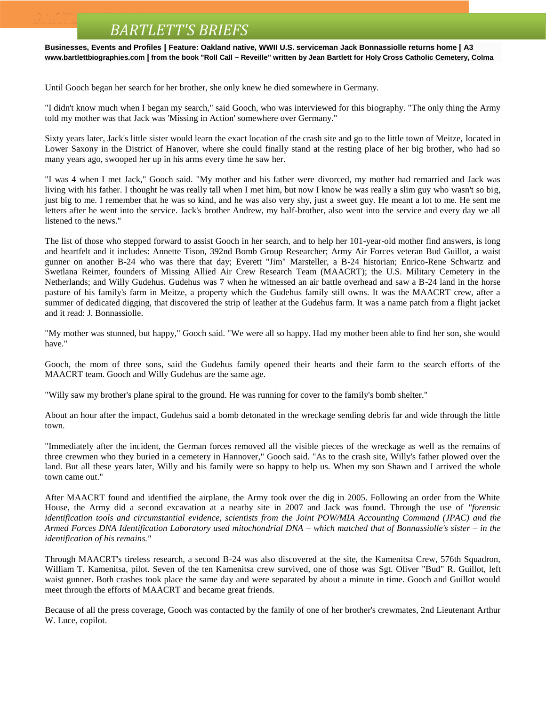**Businesses, Events and Profiles | Feature: Oakland native, WWII U.S. serviceman Jack Bonnassiolle returns home | A3 [www.bartlettbiographies.com](http://www.bartlettbiographies.com/) | from the book "Roll Call ~ Reveille" written by Jean Bartlett for [Holy Cross Catholic Cemetery, Colma](http://www.holycrosscemeteries.com/locations/colma.htm)**

Until Gooch began her search for her brother, she only knew he died somewhere in Germany.

"I didn't know much when I began my search," said Gooch, who was interviewed for this biography. "The only thing the Army told my mother was that Jack was 'Missing in Action' somewhere over Germany."

Sixty years later, Jack's little sister would learn the exact location of the crash site and go to the little town of Meitze, located in Lower Saxony in the District of Hanover, where she could finally stand at the resting place of her big brother, who had so many years ago, swooped her up in his arms every time he saw her.

"I was 4 when I met Jack," Gooch said. "My mother and his father were divorced, my mother had remarried and Jack was living with his father. I thought he was really tall when I met him, but now I know he was really a slim guy who wasn't so big, just big to me. I remember that he was so kind, and he was also very shy, just a sweet guy. He meant a lot to me. He sent me letters after he went into the service. Jack's brother Andrew, my half-brother, also went into the service and every day we all listened to the news."

The list of those who stepped forward to assist Gooch in her search, and to help her 101-year-old mother find answers, is long and heartfelt and it includes: Annette Tison, 392nd Bomb Group Researcher; Army Air Forces veteran Bud Guillot, a waist gunner on another B-24 who was there that day; Everett "Jim" Marsteller, a B-24 historian; Enrico-Rene Schwartz and Swetlana Reimer, founders of Missing Allied Air Crew Research Team (MAACRT); the U.S. Military Cemetery in the Netherlands; and Willy Gudehus. Gudehus was 7 when he witnessed an air battle overhead and saw a B-24 land in the horse pasture of his family's farm in Meitze, a property which the Gudehus family still owns. It was the MAACRT crew, after a summer of dedicated digging, that discovered the strip of leather at the Gudehus farm. It was a name patch from a flight jacket and it read: J. Bonnassiolle.

"My mother was stunned, but happy," Gooch said. "We were all so happy. Had my mother been able to find her son, she would have."

Gooch, the mom of three sons, said the Gudehus family opened their hearts and their farm to the search efforts of the MAACRT team. Gooch and Willy Gudehus are the same age.

"Willy saw my brother's plane spiral to the ground. He was running for cover to the family's bomb shelter."

About an hour after the impact, Gudehus said a bomb detonated in the wreckage sending debris far and wide through the little town.

"Immediately after the incident, the German forces removed all the visible pieces of the wreckage as well as the remains of three crewmen who they buried in a cemetery in Hannover," Gooch said. "As to the crash site, Willy's father plowed over the land. But all these years later, Willy and his family were so happy to help us. When my son Shawn and I arrived the whole town came out."

After MAACRT found and identified the airplane, the Army took over the dig in 2005. Following an order from the White House, the Army did a second excavation at a nearby site in 2007 and Jack was found. Through the use of *"forensic identification tools and circumstantial evidence, scientists from the Joint POW/MIA Accounting Command (JPAC) and the Armed Forces DNA Identification Laboratory used mitochondrial DNA – which matched that of Bonnassiolle's sister – in the identification of his remains."*

Through MAACRT's tireless research, a second B-24 was also discovered at the site, the Kamenitsa Crew, 576th Squadron, William T. Kamenitsa, pilot. Seven of the ten Kamenitsa crew survived, one of those was Sgt. Oliver "Bud" R. Guillot, left waist gunner. Both crashes took place the same day and were separated by about a minute in time. Gooch and Guillot would meet through the efforts of MAACRT and became great friends.

Because of all the press coverage, Gooch was contacted by the family of one of her brother's crewmates, 2nd Lieutenant Arthur W. Luce, copilot.